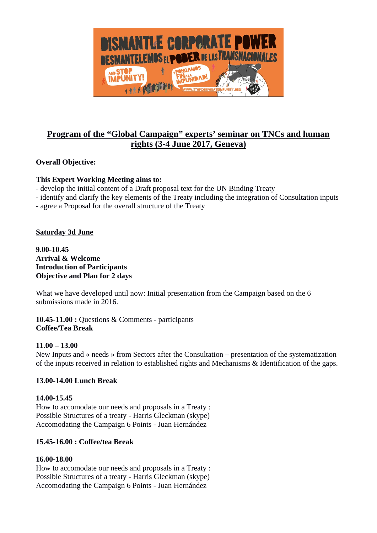

# **Program of the "Global Campaign" experts' seminar on TNCs and human rights (3-4 June 2017, Geneva)**

## **Overall Objective:**

## **This Expert Working Meeting aims to:**

- develop the initial content of a Draft proposal text for the UN Binding Treaty
- identify and clarify the key elements of the Treaty including the integration of Consultation inputs
- agree a Proposal for the overall structure of the Treaty

## **Saturday 3d June**

**9.00-10.45 Arrival & Welcome Introduction of Participants Objective and Plan for 2 days**

What we have developed until now: Initial presentation from the Campaign based on the 6 submissions made in 2016.

**10.45-11.00 :** Questions & Comments - participants **Coffee/Tea Break**

## **11.00 – 13.00**

New Inputs and « needs » from Sectors after the Consultation – presentation of the systematization of the inputs received in relation to established rights and Mechanisms & Identification of the gaps.

## **13.00-14.00 Lunch Break**

## **14.00-15.45**

How to accomodate our needs and proposals in a Treaty : Possible Structures of a treaty - Harris Gleckman (skype) Accomodating the Campaign 6 Points - Juan Hernández

## **15.45-16.00 : Coffee/tea Break**

#### **16.00-18.00**

How to accomodate our needs and proposals in a Treaty : Possible Structures of a treaty - Harris Gleckman (skype) Accomodating the Campaign 6 Points - Juan Hernández